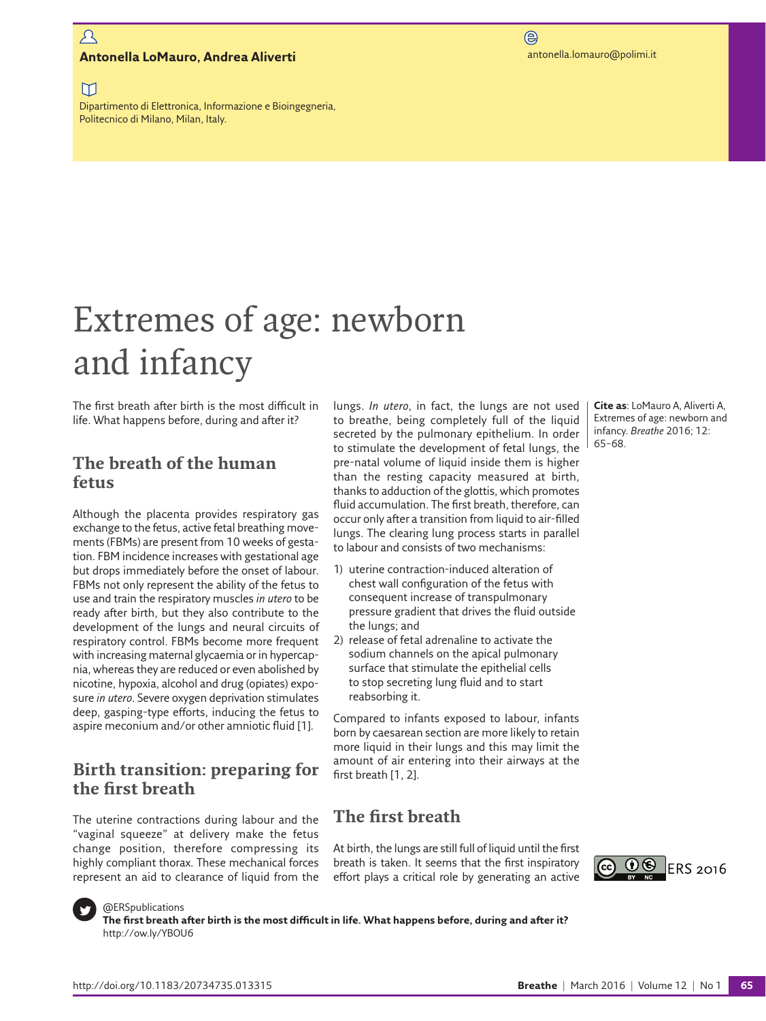#### $\mathcal{P}$ **Antonella LoMauro, Andrea Aliverti** [antonella.lomauro@polimi.it](mailto:antonella.lomauro@polimi.it)

#### $\Box$

Dipartimento di Elettronica, Informazione e Bioingegneria, Politecnico di Milano, Milan, Italy.

# Extremes of age: newborn and infancy

The first breath after birth is the most difficult in life. What happens before, during and after it?

#### **The breath of the human fetus**

Although the placenta provides respiratory gas exchange to the fetus, active fetal breathing movements (FBMs) are present from 10 weeks of gestation. FBM incidence increases with gestational age but drops immediately before the onset of labour. FBMs not only represent the ability of the fetus to use and train the respiratory muscles *in utero* to be ready after birth, but they also contribute to the development of the lungs and neural circuits of respiratory control. FBMs become more frequent with increasing maternal glycaemia or in hypercapnia, whereas they are reduced or even abolished by nicotine, hypoxia, alcohol and drug (opiates) exposure *in utero*. Severe oxygen deprivation stimulates deep, gasping-type efforts, inducing the fetus to aspire meconium and/or other amniotic fluid [[1](#page-3-0)].

## **Birth transition: preparing for the first breath**

The uterine contractions during labour and the "vaginal squeeze" at delivery make the fetus change position, therefore compressing its highly compliant thorax. These mechanical forces represent an aid to clearance of liquid from the lungs. *In utero*, in fact, the lungs are not used to breathe, being completely full of the liquid secreted by the pulmonary epithelium. In order to stimulate the development of fetal lungs, the pre-natal volume of liquid inside them is higher than the resting capacity measured at birth, thanks to adduction of the glottis, which promotes fluid accumulation. The first breath, therefore, can occur only after a transition from liquid to air-filled lungs. The clearing lung process starts in parallel to labour and consists of two mechanisms:

- 1) uterine contraction-induced alteration of chest wall configuration of the fetus with consequent increase of transpulmonary pressure gradient that drives the fluid outside the lungs; and
- 2) release of fetal adrenaline to activate the sodium channels on the apical pulmonary surface that stimulate the epithelial cells to stop secreting lung fluid and to start reabsorbing it.

Compared to infants exposed to labour, infants born by caesarean section are more likely to retain more liquid in their lungs and this may limit the amount of air entering into their airways at the first breath [\[1,](#page-3-0) [2](#page-3-1)].

#### **The first breath**

At birth, the lungs are still full of liquid until the first breath is taken. It seems that the first inspiratory effort plays a critical role by generating an active



@ERSpublications

**The first breath after birth is the most difficult in life. What happens before, during and after it?** <http://ow.ly/YBOU6>

**Cite as**: LoMauro A, Aliverti A, Extremes of age: newborn and infancy. *Breathe* 2016; 12: 65–68.



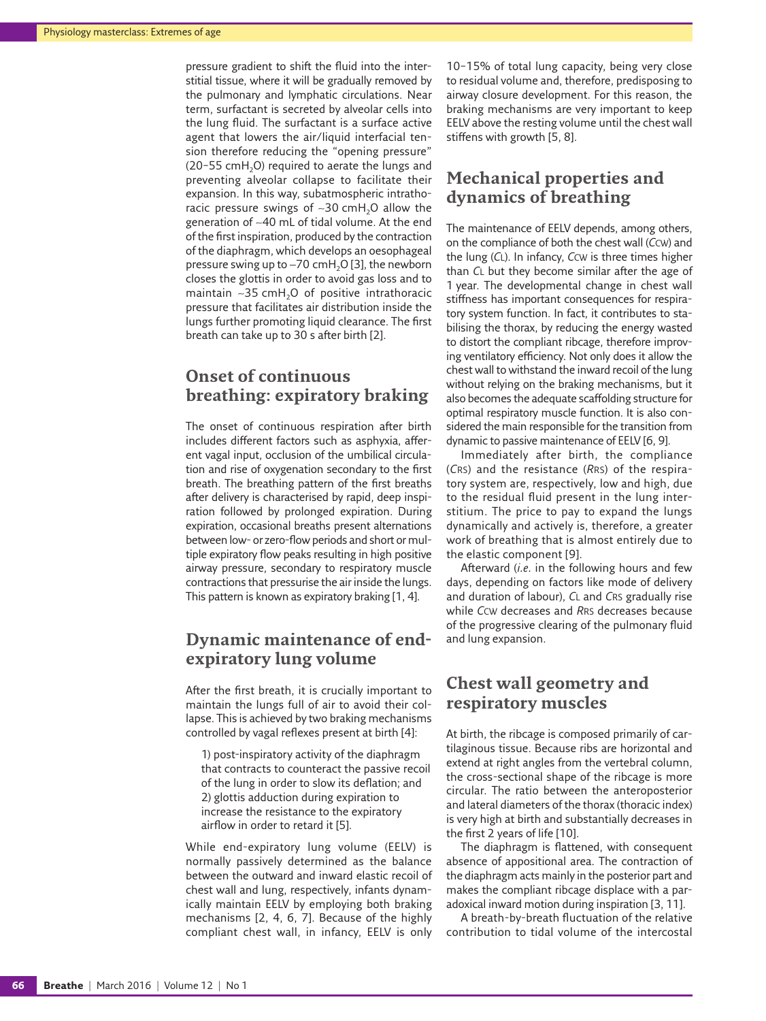pressure gradient to shift the fluid into the inter stitial tissue, where it will be gradually removed by the pulmonary and lymphatic circulations. Near term, surfactant is secreted by alveolar cells into the lung fluid. The surfactant is a surface active agent that lowers the air/liquid interfacial ten sion therefore reducing the "opening pressure" (20–55 cmH 2O) required to aerate the lungs and preventing alveolar collapse to facilitate their expansion. In this way, subatmospheric intratho racic pressure swings of ~30 cmH $_2$ O allow the generation of ∼40 mL of tidal volume. At the end of the first inspiration, produced by the contraction of the diaphragm, which develops an oesophageal pressure swing up to  $-70$  cm $H_{2}O$  [\[3\]](#page-3-2), the newborn closes the glottis in order to avoid gas loss and to maintain ∼35 cmH 2O of positive intrathoracic pressure that facilitates air distribution inside the lungs further promoting liquid clearance. The first breath can take up to 30 s after birth [\[2\]](#page-3-1).

## **Onset of continuous breathing: expiratory braking**

The onset of continuous respiration after birth includes different factors such as asphyxia, affer ent vagal input, occlusion of the umbilical circula tion and rise of oxygenation secondary to the first breath. The breathing pattern of the first breaths after delivery is characterised by rapid, deep inspi ration followed by prolonged expiration. During expiration, occasional breaths present alternations between low- or zero-flow periods and short or mul tiple expiratory flow peaks resulting in high positive airway pressure, secondary to respiratory muscle contractions that pressurise the air inside the lungs. This pattern is known as expiratory braking [[1,](#page-3-0) [4](#page-3-3)].

#### **Dynamic maintenance of endexpiratory lung volume**

After the first breath, it is crucially important to maintain the lungs full of air to avoid their col lapse. This is achieved by two braking mechanisms controlled by vagal reflexes present at birth [[4\]](#page-3-3):

1) post-inspiratory activity of the diaphragm that contracts to counteract the passive recoil of the lung in order to slow its deflation; and 2) glottis adduction during expiration to increase the resistance to the expiratory airflow in order to retard it [[5\]](#page-3-4).

While end-expiratory lung volume (EELV) is normally passively determined as the balance between the outward and inward elastic recoil of chest wall and lung, respectively, infants dynam ically maintain EELV by employing both braking mechanisms [[2](#page-3-1), [4,](#page-3-3) [6,](#page-3-5) [7\]](#page-3-6). Because of the highly compliant chest wall, in infancy, EELV is only

10–15% of total lung capacity, being very close to residual volume and, therefore, predisposing to airway closure development. For this reason, the braking mechanisms are very important to keep EELV above the resting volume until the chest wall stiffens with growth [[5](#page-3-4), [8\]](#page-3-7).

## **Mechanical properties and dynamics of breathing**

The maintenance of EELV depends, among others, on the compliance of both the chest wall ( *C*CW) and the lung ( *C* L). In infancy, *C*CW is three times higher than *C* L but they become similar after the age of 1 year. The developmental change in chest wall stiffness has important consequences for respira tory system function. In fact, it contributes to sta bilising the thorax, by reducing the energy wasted to distort the compliant ribcage, therefore improv ing ventilatory efficiency. Not only does it allow the chest wall to withstand the inward recoil of the lung without relying on the braking mechanisms, but it also becomes the adequate scaffolding structure for optimal respiratory muscle function. It is also con sidered the main responsible for the transition from dynamic to passive maintenance of EELV [[6,](#page-3-5) [9](#page-3-8)].

Immediately after birth, the compliance ( *C*RS) and the resistance ( *R*RS) of the respira tory system are, respectively, low and high, due to the residual fluid present in the lung inter stitium. The price to pay to expand the lungs dynamically and actively is, therefore, a greater work of breathing that is almost entirely due to the elastic component [\[9\]](#page-3-8).

Afterward (*i.e.* in the following hours and few days, depending on factors like mode of delivery and duration of labour), *C* L and *C*RS gradually rise while *C*CW decreases and *R*RS decreases because of the progressive clearing of the pulmonary fluid and lung expansion.

#### **Chest wall geometry and respiratory muscles**

At birth, the ribcage is composed primarily of car tilaginous tissue. Because ribs are horizontal and extend at right angles from the vertebral column, the cross-sectional shape of the ribcage is more circular. The ratio between the anteroposterior and lateral diameters of the thorax (thoracic index) is very high at birth and substantially decreases in the first 2 years of life [[10\]](#page-3-9).

The diaphragm is flattened, with consequent absence of appositional area. The contraction of the diaphragm acts mainly in the posterior part and makes the compliant ribcage displace with a par adoxical inward motion during inspiration [[3,](#page-3-2) [11\]](#page-3-10).

A breath-by-breath fluctuation of the relative contribution to tidal volume of the intercostal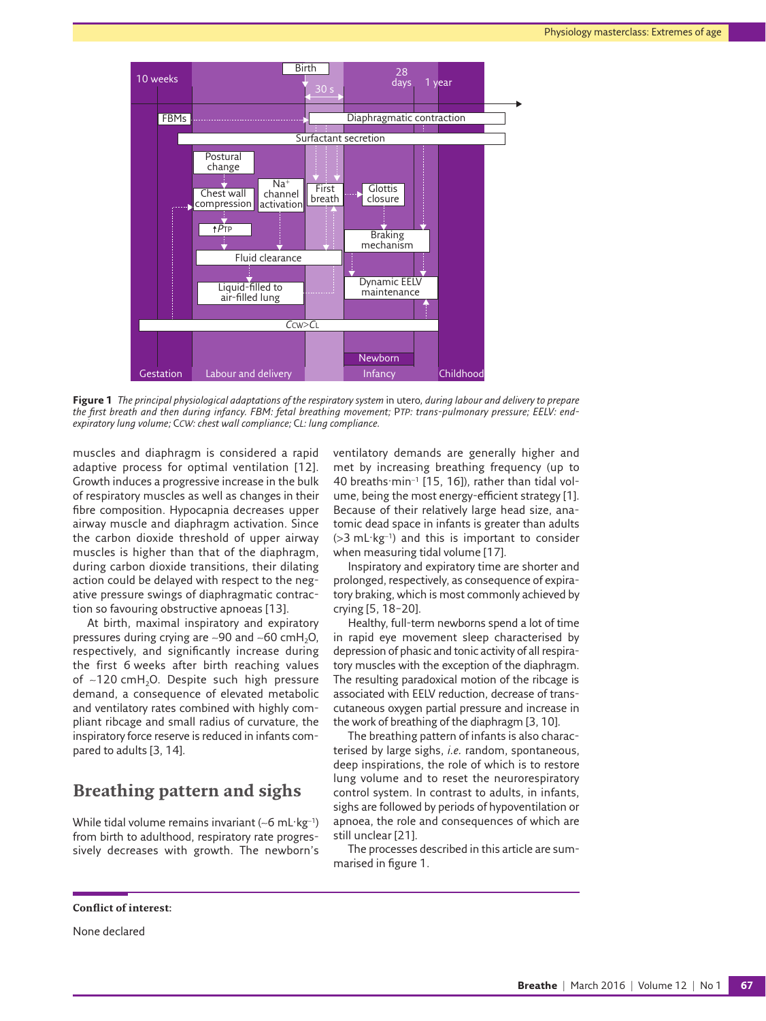

<span id="page-2-0"></span>**Figure 1** *The principal physiological adaptations of the respiratory system* in utero*, during labour and delivery to prepare the first breath and then during infancy. FBM: fetal breathing movement;* P*TP: trans-pulmonary pressure; EELV: endexpiratory lung volume;* C*CW: chest wall compliance;* C*L: lung compliance.*

muscles and diaphragm is considered a rapid adaptive process for optimal ventilation [[12\]](#page-3-11). Growth induces a progressive increase in the bulk of respiratory muscles as well as changes in their fibre composition. Hypocapnia decreases upper airway muscle and diaphragm activation. Since the carbon dioxide threshold of upper airway muscles is higher than that of the diaphragm, during carbon dioxide transitions, their dilating action could be delayed with respect to the negative pressure swings of diaphragmatic contraction so favouring obstructive apnoeas [[13\]](#page-3-12).

At birth, maximal inspiratory and expiratory pressures during crying are ~90 and ~60 cmH<sub>2</sub>O, respectively, and significantly increase during the first 6 weeks after birth reaching values of ~120 cmH<sub>2</sub>O. Despite such high pressure demand, a consequence of elevated metabolic and ventilatory rates combined with highly compliant ribcage and small radius of curvature, the inspiratory force reserve is reduced in infants compared to adults [[3](#page-3-2), [14](#page-3-13)].

#### **Breathing pattern and sighs**

While tidal volume remains invariant (∼6 mL·kg−1) from birth to adulthood, respiratory rate progressively decreases with growth. The newborn's ventilatory demands are generally higher and met by increasing breathing frequency (up to 40 breaths·min−1 [\[15](#page-3-14), [16](#page-3-15)]), rather than tidal volume, being the most energy-efficient strategy [[1\]](#page-3-0). Because of their relatively large head size, anatomic dead space in infants is greater than adults (>3 mL·kg−1) and this is important to consider when measuring tidal volume [[17](#page-3-16)].

Inspiratory and expiratory time are shorter and prolonged, respectively, as consequence of expiratory braking, which is most commonly achieved by crying [\[5,](#page-3-4) [18–](#page-3-17)[20\]](#page-3-18).

Healthy, full-term newborns spend a lot of time in rapid eye movement sleep characterised by depression of phasic and tonic activity of all respiratory muscles with the exception of the diaphragm. The resulting paradoxical motion of the ribcage is associated with EELV reduction, decrease of transcutaneous oxygen partial pressure and increase in the work of breathing of the diaphragm [\[3,](#page-3-2) [10](#page-3-9)].

The breathing pattern of infants is also characterised by large sighs, *i.e.* random, spontaneous, deep inspirations, the role of which is to restore lung volume and to reset the neurorespiratory control system. In contrast to adults, in infants, sighs are followed by periods of hypoventilation or apnoea, the role and consequences of which are still unclear [\[21](#page-3-19)].

The processes described in this article are summarised in [figure 1.](#page-2-0)

#### **Conflict of interest:**

None declared